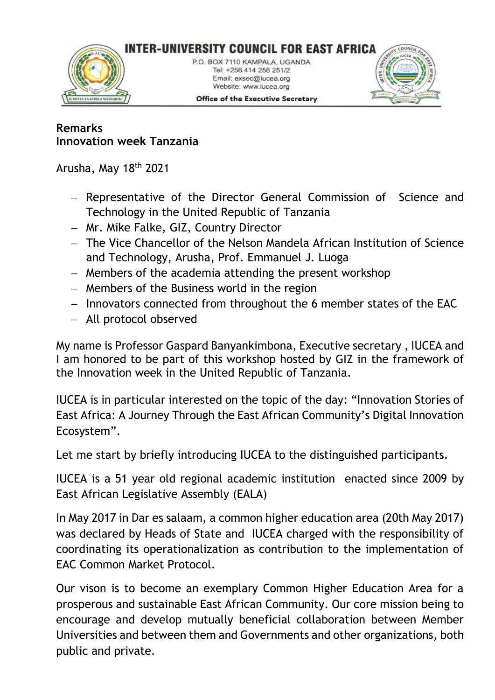

## **Remarks Innovation week Tanzania**

Arusha, May 18<sup>th</sup> 2021

- − Representative of the Director General Commission of Science and Technology in the United Republic of Tanzania
- − Mr. Mike Falke, GIZ, Country Director
- − The Vice Chancellor of the Nelson Mandela African Institution of Science and Technology, Arusha, Prof. Emmanuel J. Luoga
- − Members of the academia attending the present workshop
- − Members of the Business world in the region
- − Innovators connected from throughout the 6 member states of the EAC
- − All protocol observed

My name is Professor Gaspard Banyankimbona, Executive secretary , IUCEA and I am honored to be part of this workshop hosted by GIZ in the framework of the Innovation week in the United Republic of Tanzania.

IUCEA is in particular interested on the topic of the day: "Innovation Stories of East Africa: A Journey Through the East African Community's Digital Innovation Ecosystem".

Let me start by briefly introducing IUCEA to the distinguished participants.

IUCEA is a 51 year old regional academic institution enacted since 2009 by East African Legislative Assembly (EALA)

In May 2017 in Dar es salaam, a common higher education area (20th May 2017) was declared by Heads of State and IUCEA charged with the responsibility of coordinating its operationalization as contribution to the implementation of EAC Common Market Protocol.

Our vison is to become an exemplary Common Higher Education Area for a prosperous and sustainable East African Community. Our core mission being to encourage and develop mutually beneficial collaboration between Member Universities and between them and Governments and other organizations, both public and private.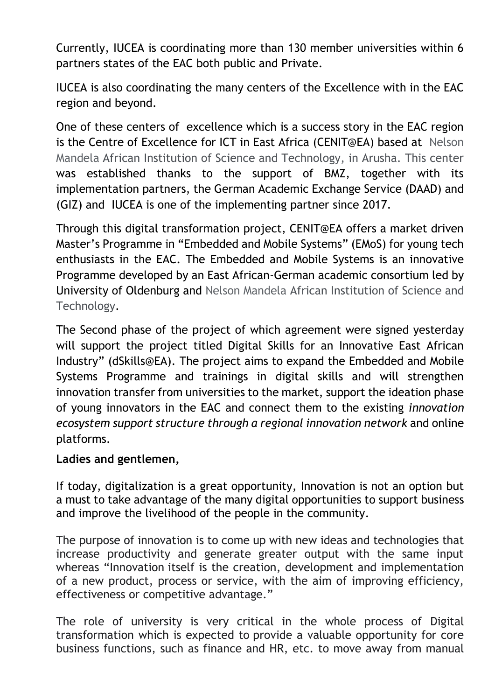Currently, IUCEA is coordinating more than 130 member universities within 6 partners states of the EAC both public and Private.

IUCEA is also coordinating the many centers of the Excellence with in the EAC region and beyond.

One of these centers of excellence which is a success story in the EAC region is the Centre of Excellence for ICT in East Africa (CENIT@EA) based at Nelson Mandela African Institution of Science and Technology, in Arusha. This center was established thanks to the support of BMZ, together with its implementation partners, the German Academic Exchange Service (DAAD) and (GIZ) and IUCEA is one of the implementing partner since 2017.

Through this digital transformation project, CENIT@EA offers a market driven Master's Programme in "Embedded and Mobile Systems" (EMoS) for young tech enthusiasts in the EAC. The Embedded and Mobile Systems is an innovative Programme developed by an East African-German academic consortium led by University of Oldenburg and Nelson Mandela African Institution of Science and Technology.

The Second phase of the project of which agreement were signed yesterday will support the project titled Digital Skills for an Innovative East African Industry" (dSkills@EA). The project aims to expand the Embedded and Mobile Systems Programme and trainings in digital skills and will strengthen innovation transfer from universities to the market, support the ideation phase of young innovators in the EAC and connect them to the existing *innovation ecosystem support structure through a regional innovation network* and online platforms.

## **Ladies and gentlemen,**

If today, digitalization is a great opportunity, Innovation is not an option but a must to take advantage of the many digital opportunities to support business and improve the livelihood of the people in the community.

The purpose of innovation is to come up with new ideas and technologies that increase productivity and generate greater output with the same input whereas "Innovation itself is the creation, development and implementation of a new product, process or service, with the aim of improving efficiency, effectiveness or competitive advantage."

The role of university is very critical in the whole process of Digital transformation which is expected to provide a valuable opportunity for core business functions, such as finance and HR, etc. to move away from manual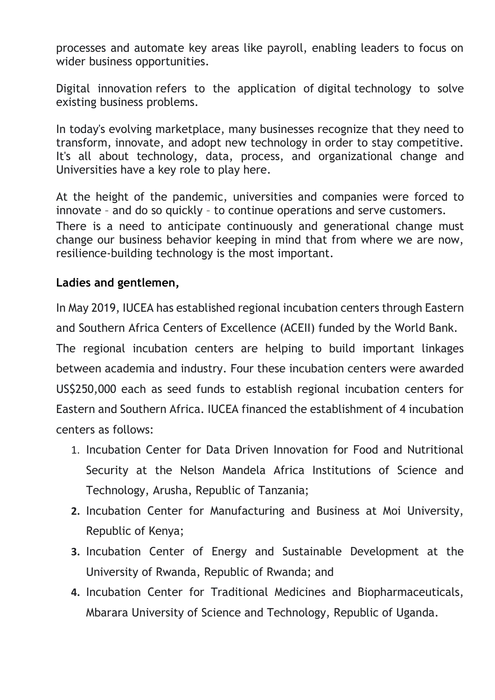processes and automate key areas like payroll, enabling leaders to focus on wider business opportunities.

Digital innovation refers to the application of digital technology to solve existing business problems.

In today's evolving marketplace, many businesses recognize that they need to transform, innovate, and adopt new technology in order to stay competitive. It's all about technology, data, process, and organizational change and Universities have a key role to play here.

At the height of the pandemic, universities and companies were forced to innovate – and do so quickly – to continue operations and serve customers. There is a need to anticipate continuously and generational change must change our business behavior keeping in mind that from where we are now, resilience-building technology is the most important.

## **Ladies and gentlemen,**

In May 2019, IUCEA has established regional incubation centers through Eastern

and Southern Africa Centers of Excellence (ACEII) funded by the World Bank.

The regional incubation centers are helping to build important linkages between academia and industry. Four these incubation centers were awarded US\$250,000 each as seed funds to establish regional incubation centers for Eastern and Southern Africa. IUCEA financed the establishment of 4 incubation centers as follows:

- 1. Incubation Center for Data Driven Innovation for Food and Nutritional Security at the Nelson Mandela Africa Institutions of Science and Technology, Arusha, Republic of Tanzania;
- **2.** Incubation Center for Manufacturing and Business at Moi University, Republic of Kenya;
- **3.** Incubation Center of Energy and Sustainable Development at the University of Rwanda, Republic of Rwanda; and
- **4.** Incubation Center for Traditional Medicines and Biopharmaceuticals, Mbarara University of Science and Technology, Republic of Uganda.